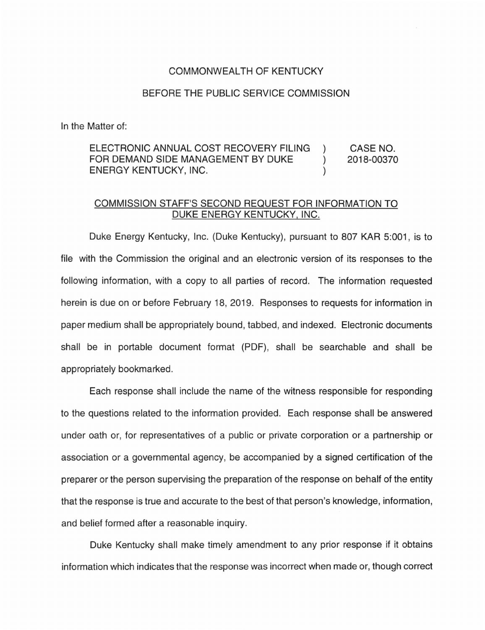## COMMONWEALTH OF KENTUCKY

## BEFORE THE PUBLIC SERVICE COMMISSION

In the Matter of:

ELECTRONIC ANNUAL COST RECOVERY FILING CASE NO.  $\lambda$ FOR DEMAND SIDE MANAGEMENT BY DUKE 2018-00370  $\lambda$ ENERGY KENTUCKY, INC.

## COMMISSION STAFF'S SECOND REQUEST FOR INFORMATION TO DUKE ENERGY KENTUCKY, INC.

Duke Energy Kentucky, Inc. (Duke Kentucky), pursuant to 807 KAR 5:001, is to file with the Commission the original and an electronic version of its responses to the following information, with a copy to all parties of record. The information requested herein is due on or before February 18, 2019. Responses to requests for information in paper medium shall be appropriately bound, tabbed, and indexed. Electronic documents shall be in portable document format (PDF), shall be searchable and shall be appropriately bookmarked.

Each response shall include the name of the witness responsible for responding to the questions related to the information provided. Each response shall be answered under oath or, for representatives of a public or private corporation or a partnership or association or a governmental agency, be accompanied by a signed certification of the preparer or the person supervising the preparation of the response on behalf of the entity that the response is true and accurate to the best of that person's knowledge, information, and belief formed after a reasonable inquiry.

Duke Kentucky shall make timely amendment to any prior response if it obtains information which indicates that the response was incorrect when made or, though correct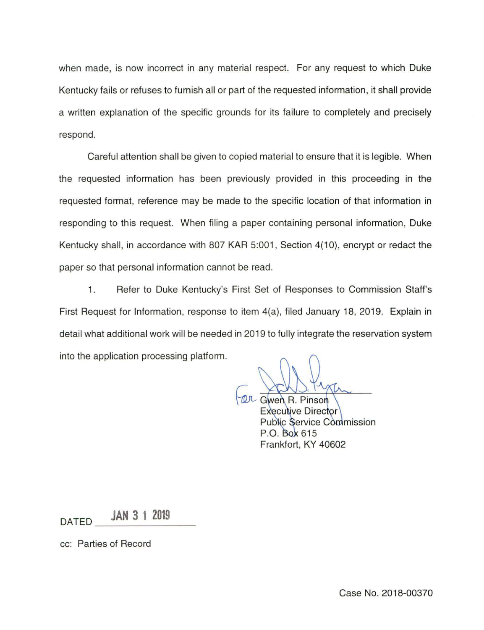when made, is now incorrect in any material respect. For any request to which Duke Kentucky fails or refuses to furnish all or part of the requested information, it shall provide a written explanation of the specific grounds for its failure to completely and precisely respond.

Careful attention shall be given to copied material to ensure that it is legible. When the requested information has been previously provided in this proceeding in the requested format, reference may be made to the specific location of that information in responding to this request. When filing a paper containing personal information, Duke Kentucky shall, in accordance with 807 KAR 5:001, Section 4(10), encrypt or redact the paper so that personal information cannot be read.

1. Refer to Duke Kentucky's First Set of Responses to Commission Staff's First Request for Information, response to item 4(a), filed January 18, 2019. Explain in detail what additional work will be needed in 2019 to fully integrate the reservation system into the application processing platform.

**OL** Gwen R. Pinson **Executive Director** Public Service Commission P.O. Box 615 Frankfort, KY 40602

DATED **JAN 3 1 2019** 

cc: Parties of Record